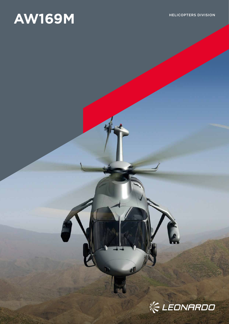# AW169M

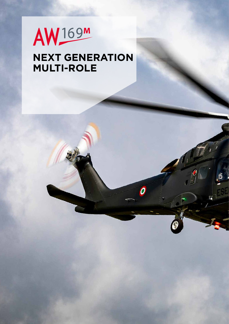# **AW169M NEXT GENERATION MULTI-ROLE**

0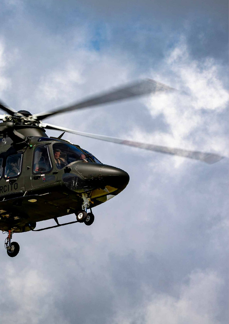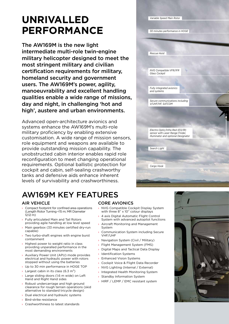# **UNRIVALLED PERFORMANCE**

The AW169M is the new light intermediate multi-role twin-engine military helicopter designed to meet the most stringent military and civilian certification requirements for military, homeland security and government users. The AW169M's power, agility, manoeuvrability and excellent handling qualities enable a wide range of missions, day and night, in challenging 'hot and high', austere and urban environments.

Advanced open-architecture avionics and systems enhance the AW169M's multi-role military proficiency by enabling extensive customisation. A wide range of mission sensors, role equipment and weapons are available to provide outstanding mission capability. The unobstructed cabin interior enables rapid role reconfiguration to meet changing operational requirements. Optional ballistic protection for cockpit and cabin, self-sealing crashworthy tanks and defensive aids enhance inherent levels of survivability and crashworthiness.

![](_page_3_Picture_3.jpeg)

## AW169M KEY FEATURES

#### AIR VEHICLE

- › Compact footprint for confined area operations (Length Rotor Turning <15 m; MR Diameter 12.12 m)
- › Fully articulated Main and Tail Rotors providing agile handling at low level speed
- Main gearbox (33 minutes certified dry-run capable)
- $\rightarrow$  Two turbo-shaft engines with engine burst containment
- $\rightarrow$  Highest power to weight ratio in class providing unparalled performance in the most demanding environments
- › Auxiliary Power Unit (APU) mode provides electrical and hydraulic power with rotors stopped without using the batteries
- › Up to 30 min performance in HOGE TOP
- $\rightarrow$  Largest cabin in its class (6.3 m<sup>3</sup>)
- › Large sliding doors (1.6 m wide) on Left Hand and Right Hand sides
- › Robust undercarriage and high ground clearance for rough terrain operations (skid alternative to standard tricycle design)
- › Dual electrical and hydraulic systems
- › Bird-strike resistance
- › Crashworthiness to latest standards

#### CORE AVIONICS

- › NVG Compatible Cockpit Display System with three 8" x 10" colour displays
- 4 axis Digital Automatic Flight Control System with advanced autopilot functions
- Aircraft Monitoring and Management System
- Communication System including Secure VHF/UHF
- Navigation System (Civil / Military)
- Flight Management System (FMS)
- Digital Maps and Tactical Data Display
- › Identification Systems
- › Enhanced Vision Systems
- Cockpit Voice & Flight Data Recorder
- NVG Lighting (Internal / External)
- › Integrated Health Monitoring System
- › Standby Information System
- › HIRF / LEMP / EMC resistant system

![](_page_3_Picture_34.jpeg)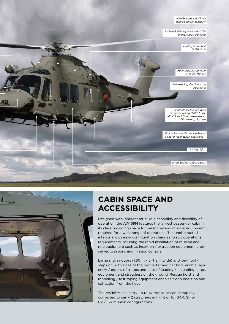![](_page_4_Picture_0.jpeg)

![](_page_4_Picture_1.jpeg)

### **CABIN SPACE AND ACCESSIBILITY**

Designed with inherent multi-role capability and flexibility of operation, the AW169M features the largest passenger cabin in its class providing space for personnel and mission equipment required for a wide range of operations. The unobstructed interior allows easy configuration changes to suit operational requirements including the rapid installation of mission and role equipment such as insertion / extraction equipment, crew served weapons and mission console.

Large sliding doors (1.60 m / 5 ft 3 in wide) and long footsteps on both sides of the helicopter and flat floor enable rapid entry / egress of troops and ease of loading / unloading cargo, equipment and stretchers on the ground. Rescue hoist and rappelling / fast roping equipment enables troop insertion and extraction from the hover.

The AW169M can carry up to 10 troops or can be rapidly converted to carry 2 stretchers in flight or for SAR, SF or C2 / ISR mission configurations.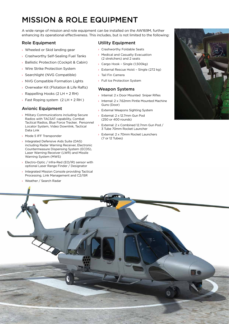## MISSION & ROLE EQUIPMENT

A wide range of mission and role equipment can be installed on the AW169M, further enhancing its operational effectiveness. This includes, but is not limited to the following:

#### Role Equipment

- › Wheeled or Skid landing gear
- › Crashworthy Self-Sealing Fuel Tanks
- › Ballistic Protection (Cockpit & Cabin)
- › Wire Strike Protection System
- › Searchlight (NVG Compatible)
- › NVG Compatible Formation Lights
- › Overwater Kit (Flotation & Life Rafts)
- › Rappelling Hooks (2 LH + 2 RH)
- › Fast Roping system (2 LH + 2 RH )

#### Avionic Equipment

- › Military Communications including Secure Radios with TACSAT capability, Combat Tactical Radios, Blue Force Tracker, Personnel Locator System, Video Downlink, Tactical Data Link
- › Mode 5 IFF Transponder
- › Integrated Defensive Aids Suite (DAS) including Radar Warning Receiver, Electronic Countermeasure Dispensing System (ECDS), Laser Warning Receiver (LWR) and Missile Warning System (MWS)
- › Electro-Optic / Infra-Red (EO/IR) sensor with optional Laser Range Finder / Designator
- › Integrated Mission Console providing Tactical Processing, Link Management and C2/ISR
- › Weather / Search Radar

#### Utility Equipment

- › Crashworthy Foldable Seats
- › Medical and Casualty Evacuation (2 stretchers) and 2 seats
- › Cargo Hook Single (1,500kg)
- › External Rescue Hoist Single (272 kg)
- › Tail Fin Camera
- › Full Ice Protection System

#### Weapon Systems

- › Internal: 2 x Door Mounted Sniper Rifles
- › Internal: 2 x 7.62mm Pintle Mounted Machine Guns (Door)
- › External Weapons Sighting System
- › External: 2 x 12.7mm Gun Pod (250 or 400 rounds)
- › External: 2 x Combined 12.7mm Gun Pod / 3 Tube 70mm Rocket Launcher
- › External: 2 x 70mm Rocket Launchers (7 or 12 Tubes)

![](_page_5_Picture_33.jpeg)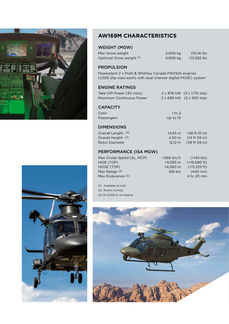![](_page_6_Picture_0.jpeg)

![](_page_6_Picture_1.jpeg)

#### **AW169M CHARACTERISTICS**

#### WEIGHT (MGW)

Max Gross weight 4,600 kg (10,141 lb) Optional Gross weight  $(1)$  4,800 kg (10,582 lb)

#### PROPULSION

Powerplant 2 x Pratt & Whitney Canada PW210A engines (1,000 shp class each) with dual channel digital FADEC system

#### ENGINE RATINGS

| Take-Off Power (30 mins) | $2 \times 876$ kW $(2 \times 1,175$ shp) |
|--------------------------|------------------------------------------|
| Maximum Continuous Power | $2 \times 686$ kW $(2 \times 920$ shp)   |

#### **CAPACITY**

| Crew              | $1$ to $2$ |
|-------------------|------------|
| <b>Passengers</b> | Up to $10$ |

#### DIMENSIONS

| Overall Length (2) | 14.65 m (48 ft 01 in)           |
|--------------------|---------------------------------|
| Overall Height (2) | 4.50 m (14 ft 09 in)            |
| Rotor Diameter     | $12.12 \text{ m}$ (39 ft 09 in) |

#### PERFORMANCE (ISA MGW)

| Max Cruise Speed (SL, MCP) | >268 km/h  | (>145 kts)      |
|----------------------------|------------|-----------------|
| HIGE (TOP)                 | $>5.085$ m | $($ >16.680 ft) |
| HOGE (TOP)                 | >4.060 m   | $(>13.325$ ft)  |
| Max Range $(3)$            | 816 km     | (440 nm)        |
| Max Endurance $(3)$        |            | 4 hr 20 min     |
|                            |            |                 |

(1) Available as a kit (2) Rotors turning (3) At 5,000 ft, no reserve

![](_page_6_Picture_16.jpeg)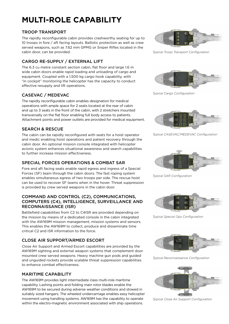## **MULTI-ROLE CAPABILITY**

#### TROOP TRANSPORT

The rapidly reconfigurable cabin provides crashworthy seating for up to 10 troops in fore / aft facing layouts. Ballistic protection as well as crew served weapons, such as 7.62 mm GPMG or Sniper Rifles located in the cabin door, can be provided.

#### CARGO RE-SUPPLY / EXTERNAL LIFT

The 6.3 cu metre constant section cabin, flat floor and large 1.6 m wide cabin doors enable rapid loading and unloading of cargo and equipment. Coupled with a 1,500 kg cargo hook capability, with "in cockpit" monitoring the helicopter has the capacity to conduct effective resupply and lift operations.

#### CASEVAC / MEDEVAC

The rapidly reconfigurable cabin enables designation for medical operations with ample space for 2 seats located at the rear of cabin and up to 3 seats in the front of the cabin, with 2 stretchers mounted transversally on the flat floor enabling full body access to patients. Attachment points and power outlets are provided for medical equipment.

#### SEARCH & RESCUE

The cabin can be rapidly reconfigured with seats for a hoist operator and medic enabling hoist operations and patient recovery through the cabin door. An optional mission console integrated with helicopter avionic system enhances situational awareness and search capabilities to further increase mission effectiveness.

#### SPECIAL FORCES OPERATIONS & COMBAT SAR

Fore and aft facing seats enable rapid egress and ingress of a Special Forces (SF) team through the cabin doors. The fast roping system enables simultaneous egress of two troops per side. The rescue hoist can be used to recover SF teams when in the hover. Threat suppression is provided by crew served weapons in the cabin door.

#### COMMAND AND CONTROL (C2), COMMUNICATIONS, COMPUTERS (C4), INTELLIGENCE, SURVEILLANCE AND RECONNAISSANCE (ISR)

Battlefield capabilities from C2 to C4ISR are provided depending on the mission by means of a dedicated console in the cabin integrated with the AW169M mission management, mission systems and sensors. This enables the AW169M to collect, produce and disseminate time critical C2 and ISR information to the force.

#### CLOSE AIR SUPPORT/ARMED ESCORT

Close Air Support and Armed Escort capabilities are provided by the AW169M sighting and external weapon systems that complement door mounted crew served weapons. Heavy machine gun pods and guided and unguided rockets provide scalable threat suppression capabilities to enhance combat effectiveness.

#### MARITIME CAPABILITY

The AW169M provides light intermediate class multi-role maritime capability. Lashing points and folding main rotor blades enable the AW169M to be secured during adverse weather conditions and stowed in suitably sized hangars. The wheeled undercarriage enables easy helicopter movement using handling systems. AW169M has the capability to operate within the electro-magnetic environment associated with ship operations.

![](_page_7_Picture_17.jpeg)

*Typical Troop Transport Configuration*

![](_page_7_Picture_19.jpeg)

*Typical Cargo Configuration*

![](_page_7_Picture_21.jpeg)

*Typical CASEVAC/MEDEVAC Configuration*

![](_page_7_Picture_23.jpeg)

*Typical SAR Configuration*

![](_page_7_Picture_25.jpeg)

*Typical Special Ops Configuration*

![](_page_7_Picture_27.jpeg)

*Typical Reconnaissance Configuration*

![](_page_7_Picture_29.jpeg)

*Typical Close Air Support Configuration*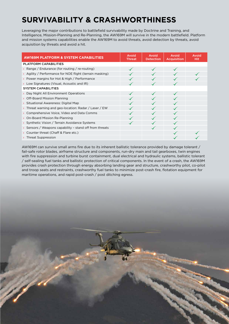## **SURVIVABILITY & CRASHWORTHINESS**

Leveraging the major contributions to battlefield survivability made by Doctrine and Training, and Intelligence, Mission-Planning and Re-Planning, the AW169M will survive in the modern battlefield. Platform and mission systems capabilities enable the AW169M to avoid threats, avoid detection by threats, avoid acquisition by threats and avoid a hit.

| <b>AW169M PLATFORM &amp; SYSTEM CAPABILITIES</b>                     | Avoid<br><b>Threat</b> | Avoid<br><b>Detection</b> | Avoid<br><b>Acquisition</b> | Avoid<br>Hit |
|----------------------------------------------------------------------|------------------------|---------------------------|-----------------------------|--------------|
| <b>PLATFORM CAPABILITIES</b>                                         |                        |                           |                             |              |
| $\rightarrow$ Range / Endurance (for routing / re-routing)           |                        |                           |                             |              |
| $\rightarrow$ Agility / Performance for NOE flight (terrain masking) |                        |                           |                             |              |
| $\rightarrow$ Power margins for Hot & High / Performance             |                        |                           |                             |              |
| $\rightarrow$ Low Signatures (Visual, Acoustic and IR)               |                        |                           |                             |              |
| <b>SYSTEM CAPABILITIES</b>                                           |                        |                           |                             |              |
| > Day Night All Environment Operations                               |                        |                           |                             |              |
| > Off-Board Mission Planning                                         |                        |                           |                             |              |
| > Situational Awareness: Digital Map                                 |                        |                           |                             |              |
| $\rightarrow$ Threat warning and geo-location: Radar / Laser / EW    |                        |                           |                             |              |
| > Comprehensive Voice, Video and Data Comms                          |                        |                           |                             |              |
| > On-Board Mission Re-Planning                                       |                        |                           |                             |              |
| → Synthetic Vision / Terrain Avoidance Systems                       |                        |                           |                             |              |
| Sensors / Weapons capability - stand off from threats                |                        |                           |                             |              |
| $\rightarrow$ Counter threat (Chaff & Flare etc.)                    |                        |                           |                             |              |
| > Threat Suppression                                                 |                        |                           |                             |              |

AW169M can survive small arms fire due to its inherent ballistic tolerance provided by damage tolerant / fail-safe rotor blades, airframe structure and components, run-dry main and tail gearboxes, twin engines with fire suppression and turbine burst containment, dual electrical and hydraulic systems, ballistic tolerant / self-sealing fuel tanks and ballistic protection of critical components. In the event of a crash, the AW169M provides crash protection through energy absorbing landing gear and structure, crashworthy pilot, co-pilot and troop seats and restraints, crashworthy fuel tanks to minimize post-crash fire, flotation equipment for maritime operations, and rapid post-crash / post ditching egress.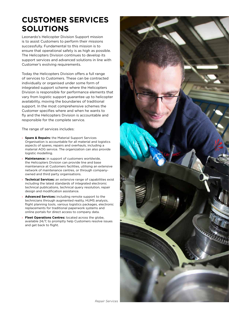### **CUSTOMER SERVICES SOLUTIONS**

Leonardo's Helicopter Division Support mission is to assist Customers to perform their missions successfully. Fundamental to this mission is to ensure that operational safety is as high as possible. The Helicopters Division continues to develop its support services and advanced solutions in line with Customer's evolving requirements.

Today the Helicopters Division offers a full range of services to Customers. These can be contracted individually or organised under some form of integrated support scheme where the Helicopters Division is responsible for performance elements that vary from logistic support guarantee up to helicopter availability, moving the boundaries of traditional support. In the most comprehensive schemes the Customer specifies where and when he wants to fly and the Helicopters Division is accountable and responsible for the complete service.

The range of services includes:

- › **Spare & Repairs:** the Material Support Services Organisation is accountable for all material and logistics aspects of spares, repairs and overhauls, including a material AOG service. The organization can also provide logistic modelling.
- › **Maintenance:** in support of customers worldwide, the Helicopters Division can provide line and base maintenance at Customers facilities, utilising an extensive network of maintenance centres, or through companyowned and third party organisations.
- › **Technical Services:** an extensive range of capabilities exist including the latest standards of integrated electronic technical publications, technical query resolution, repair design and modification assistance.
- › **Advanced Services:** including remote support to the technicians through augmented reality, HUMS analysis, flight planning tools, various logistics packages, electronic replacements for traditional paperwork systems and online portals for direct access to company data.
- › **Fleet Operations Centres:** located across the globe, available 24/7, to promptly help Customers resolve issues and get back to flight.

![](_page_9_Picture_9.jpeg)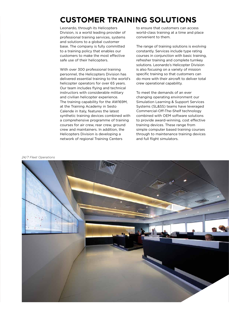### **CUSTOMER TRAINING SOLUTIONS**

Leonardo, through its Helicopters Division, is a world leading provider of professional training services, systems and solutions to a global customer base. The company is fully committed to a training policy that enables our customers to make the most effective safe use of their helicopters.

With over 300 professional training personnel, the Helicopters Division has delivered essential training to the world's helicopter operators for over 65 years. Our team includes flying and technical instructors with considerable military and civilian helicopter experience. The training capability for the AW169M, at the Training Academy in Sesto Calende in Italy, features the latest synthetic training devices combined with a comprehensive programme of training courses for air crew, rear crew, ground crew and maintainers. In addition, the Helicopters Division is developing a network of regional Training Centers

to ensure that customers can access world-class training at a time and place convenient to them.

The range of training solutions is evolving constantly. Services include type rating courses in conjunction with basic training, refresher training and complete turnkey solutions. Leonardo's Helicopter Division is also focusing on a variety of mission specific training so that customers can do more with their aircraft to deliver total crew operational capability.

To meet the demands of an ever changing operating environment our Simulation Learning & Support Services Systems (SL&SS) teams have leveraged Commercial-Off-The-Shelf technology combined with OEM software solutions to provide award-winning, cost effective training devices. These range from simple computer based training courses through to maintenance training devices and full flight simulators.

*24/7 Fleet Operations*

![](_page_10_Picture_7.jpeg)